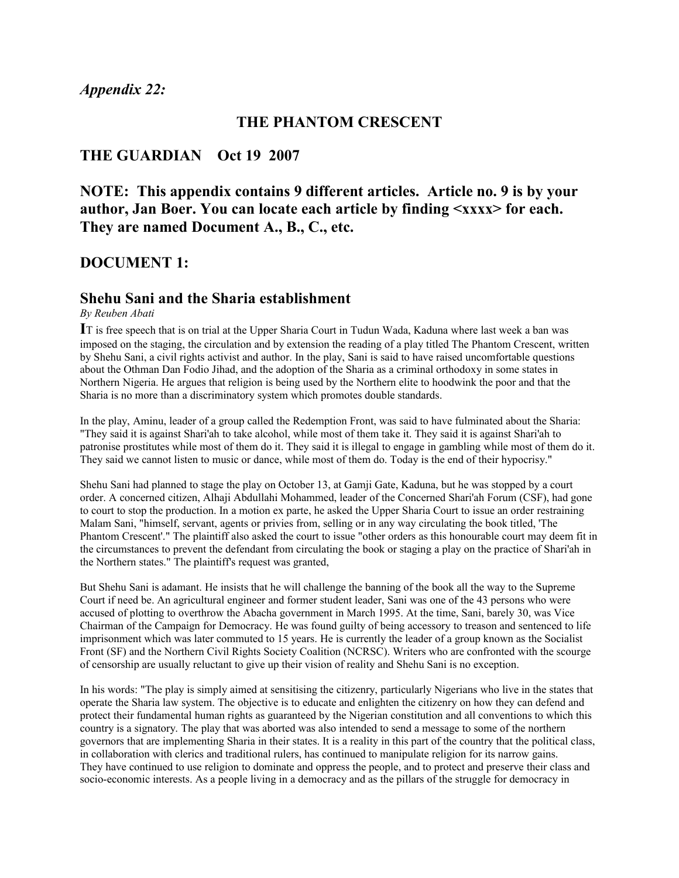#### **THE PHANTOM CRESCENT**

#### **THE GUARDIAN Oct 19 2007**

**NOTE: This appendix contains 9 different articles. Article no. 9 is by your author, Jan Boer. You can locate each article by finding <xxxx> for each. They are named Document A., B., C., etc.** 

#### **DOCUMENT 1:**

#### **Shehu Sani and the Sharia establishment**

#### *By Reuben Abati*

**I**T is free speech that is on trial at the Upper Sharia Court in Tudun Wada, Kaduna where last week a ban was imposed on the staging, the circulation and by extension the reading of a play titled The Phantom Crescent, written by Shehu Sani, a civil rights activist and author. In the play, Sani is said to have raised uncomfortable questions about the Othman Dan Fodio Jihad, and the adoption of the Sharia as a criminal orthodoxy in some states in Northern Nigeria. He argues that religion is being used by the Northern elite to hoodwink the poor and that the Sharia is no more than a discriminatory system which promotes double standards.

In the play, Aminu, leader of a group called the Redemption Front, was said to have fulminated about the Sharia: "They said it is against Shari'ah to take alcohol, while most of them take it. They said it is against Shari'ah to patronise prostitutes while most of them do it. They said it is illegal to engage in gambling while most of them do it. They said we cannot listen to music or dance, while most of them do. Today is the end of their hypocrisy."

Shehu Sani had planned to stage the play on October 13, at Gamji Gate, Kaduna, but he was stopped by a court order. A concerned citizen, Alhaji Abdullahi Mohammed, leader of the Concerned Shari'ah Forum (CSF), had gone to court to stop the production. In a motion ex parte, he asked the Upper Sharia Court to issue an order restraining Malam Sani, "himself, servant, agents or privies from, selling or in any way circulating the book titled, 'The Phantom Crescent'." The plaintiff also asked the court to issue "other orders as this honourable court may deem fit in the circumstances to prevent the defendant from circulating the book or staging a play on the practice of Shari'ah in the Northern states." The plaintiff's request was granted,

But Shehu Sani is adamant. He insists that he will challenge the banning of the book all the way to the Supreme Court if need be. An agricultural engineer and former student leader, Sani was one of the 43 persons who were accused of plotting to overthrow the Abacha government in March 1995. At the time, Sani, barely 30, was Vice Chairman of the Campaign for Democracy. He was found guilty of being accessory to treason and sentenced to life imprisonment which was later commuted to 15 years. He is currently the leader of a group known as the Socialist Front (SF) and the Northern Civil Rights Society Coalition (NCRSC). Writers who are confronted with the scourge of censorship are usually reluctant to give up their vision of reality and Shehu Sani is no exception.

In his words: "The play is simply aimed at sensitising the citizenry, particularly Nigerians who live in the states that operate the Sharia law system. The objective is to educate and enlighten the citizenry on how they can defend and protect their fundamental human rights as guaranteed by the Nigerian constitution and all conventions to which this country is a signatory. The play that was aborted was also intended to send a message to some of the northern governors that are implementing Sharia in their states. It is a reality in this part of the country that the political class, in collaboration with clerics and traditional rulers, has continued to manipulate religion for its narrow gains. They have continued to use religion to dominate and oppress the people, and to protect and preserve their class and socio-economic interests. As a people living in a democracy and as the pillars of the struggle for democracy in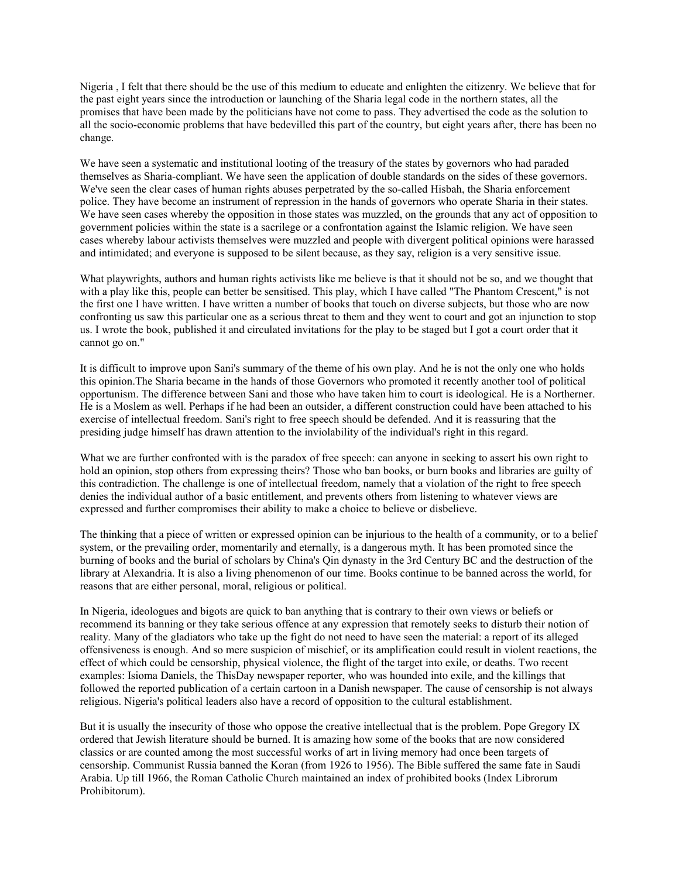Nigeria , I felt that there should be the use of this medium to educate and enlighten the citizenry. We believe that for the past eight years since the introduction or launching of the Sharia legal code in the northern states, all the promises that have been made by the politicians have not come to pass. They advertised the code as the solution to all the socio-economic problems that have bedevilled this part of the country, but eight years after, there has been no change.

We have seen a systematic and institutional looting of the treasury of the states by governors who had paraded themselves as Sharia-compliant. We have seen the application of double standards on the sides of these governors. We've seen the clear cases of human rights abuses perpetrated by the so-called Hisbah, the Sharia enforcement police. They have become an instrument of repression in the hands of governors who operate Sharia in their states. We have seen cases whereby the opposition in those states was muzzled, on the grounds that any act of opposition to government policies within the state is a sacrilege or a confrontation against the Islamic religion. We have seen cases whereby labour activists themselves were muzzled and people with divergent political opinions were harassed and intimidated; and everyone is supposed to be silent because, as they say, religion is a very sensitive issue.

What playwrights, authors and human rights activists like me believe is that it should not be so, and we thought that with a play like this, people can better be sensitised. This play, which I have called "The Phantom Crescent," is not the first one I have written. I have written a number of books that touch on diverse subjects, but those who are now confronting us saw this particular one as a serious threat to them and they went to court and got an injunction to stop us. I wrote the book, published it and circulated invitations for the play to be staged but I got a court order that it cannot go on."

It is difficult to improve upon Sani's summary of the theme of his own play. And he is not the only one who holds this opinion.The Sharia became in the hands of those Governors who promoted it recently another tool of political opportunism. The difference between Sani and those who have taken him to court is ideological. He is a Northerner. He is a Moslem as well. Perhaps if he had been an outsider, a different construction could have been attached to his exercise of intellectual freedom. Sani's right to free speech should be defended. And it is reassuring that the presiding judge himself has drawn attention to the inviolability of the individual's right in this regard.

What we are further confronted with is the paradox of free speech: can anyone in seeking to assert his own right to hold an opinion, stop others from expressing theirs? Those who ban books, or burn books and libraries are guilty of this contradiction. The challenge is one of intellectual freedom, namely that a violation of the right to free speech denies the individual author of a basic entitlement, and prevents others from listening to whatever views are expressed and further compromises their ability to make a choice to believe or disbelieve.

The thinking that a piece of written or expressed opinion can be injurious to the health of a community, or to a belief system, or the prevailing order, momentarily and eternally, is a dangerous myth. It has been promoted since the burning of books and the burial of scholars by China's Qin dynasty in the 3rd Century BC and the destruction of the library at Alexandria. It is also a living phenomenon of our time. Books continue to be banned across the world, for reasons that are either personal, moral, religious or political.

In Nigeria, ideologues and bigots are quick to ban anything that is contrary to their own views or beliefs or recommend its banning or they take serious offence at any expression that remotely seeks to disturb their notion of reality. Many of the gladiators who take up the fight do not need to have seen the material: a report of its alleged offensiveness is enough. And so mere suspicion of mischief, or its amplification could result in violent reactions, the effect of which could be censorship, physical violence, the flight of the target into exile, or deaths. Two recent examples: Isioma Daniels, the ThisDay newspaper reporter, who was hounded into exile, and the killings that followed the reported publication of a certain cartoon in a Danish newspaper. The cause of censorship is not always religious. Nigeria's political leaders also have a record of opposition to the cultural establishment.

But it is usually the insecurity of those who oppose the creative intellectual that is the problem. Pope Gregory IX ordered that Jewish literature should be burned. It is amazing how some of the books that are now considered classics or are counted among the most successful works of art in living memory had once been targets of censorship. Communist Russia banned the Koran (from 1926 to 1956). The Bible suffered the same fate in Saudi Arabia. Up till 1966, the Roman Catholic Church maintained an index of prohibited books (Index Librorum Prohibitorum).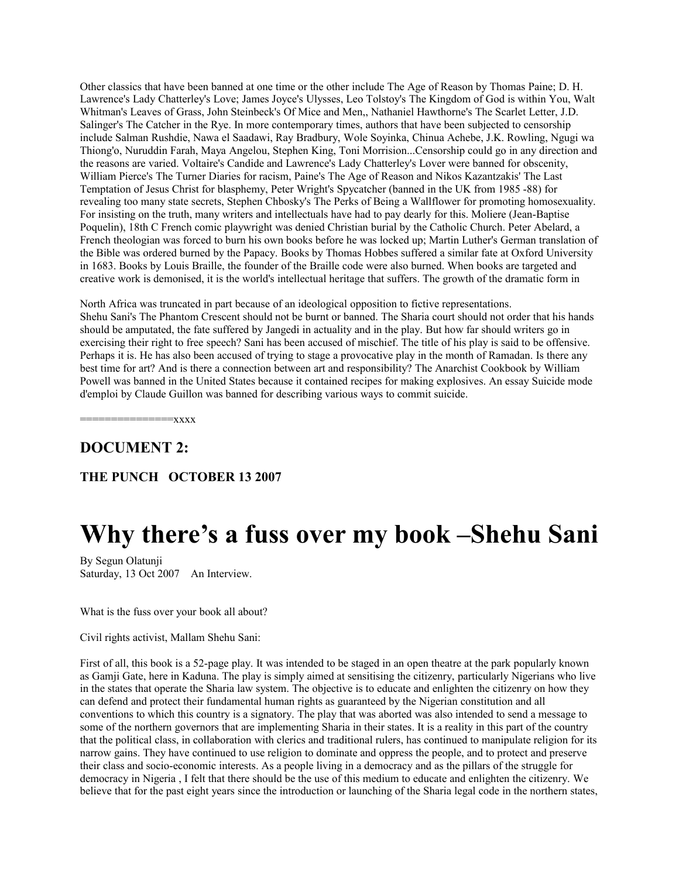Other classics that have been banned at one time or the other include The Age of Reason by Thomas Paine; D. H. Lawrence's Lady Chatterley's Love; James Joyce's Ulysses, Leo Tolstoy's The Kingdom of God is within You, Walt Whitman's Leaves of Grass, John Steinbeck's Of Mice and Men,, Nathaniel Hawthorne's The Scarlet Letter, J.D. Salinger's The Catcher in the Rye. In more contemporary times, authors that have been subjected to censorship include Salman Rushdie, Nawa el Saadawi, Ray Bradbury, Wole Soyinka, Chinua Achebe, J.K. Rowling, Ngugi wa Thiong'o, Nuruddin Farah, Maya Angelou, Stephen King, Toni Morrision...Censorship could go in any direction and the reasons are varied. Voltaire's Candide and Lawrence's Lady Chatterley's Lover were banned for obscenity, William Pierce's The Turner Diaries for racism, Paine's The Age of Reason and Nikos Kazantzakis' The Last Temptation of Jesus Christ for blasphemy, Peter Wright's Spycatcher (banned in the UK from 1985 -88) for revealing too many state secrets, Stephen Chbosky's The Perks of Being a Wallflower for promoting homosexuality. For insisting on the truth, many writers and intellectuals have had to pay dearly for this. Moliere (Jean-Baptise Poquelin), 18th C French comic playwright was denied Christian burial by the Catholic Church. Peter Abelard, a French theologian was forced to burn his own books before he was locked up; Martin Luther's German translation of the Bible was ordered burned by the Papacy. Books by Thomas Hobbes suffered a similar fate at Oxford University in 1683. Books by Louis Braille, the founder of the Braille code were also burned. When books are targeted and creative work is demonised, it is the world's intellectual heritage that suffers. The growth of the dramatic form in

North Africa was truncated in part because of an ideological opposition to fictive representations. Shehu Sani's The Phantom Crescent should not be burnt or banned. The Sharia court should not order that his hands should be amputated, the fate suffered by Jangedi in actuality and in the play. But how far should writers go in exercising their right to free speech? Sani has been accused of mischief. The title of his play is said to be offensive. Perhaps it is. He has also been accused of trying to stage a provocative play in the month of Ramadan. Is there any best time for art? And is there a connection between art and responsibility? The Anarchist Cookbook by William Powell was banned in the United States because it contained recipes for making explosives. An essay Suicide mode d'emploi by Claude Guillon was banned for describing various ways to commit suicide.

 $=$ xxx $x$ 

#### **DOCUMENT 2:**

**THE PUNCH OCTOBER 13 2007**

# **Why there's a fuss over my book –Shehu Sani**

By Segun Olatunji Saturday, 13 Oct 2007 An Interview.

What is the fuss over your book all about?

Civil rights activist, Mallam Shehu Sani:

First of all, this book is a 52-page play. It was intended to be staged in an open theatre at the park popularly known as Gamji Gate, here in Kaduna. The play is simply aimed at sensitising the citizenry, particularly Nigerians who live in the states that operate the Sharia law system. The objective is to educate and enlighten the citizenry on how they can defend and protect their fundamental human rights as guaranteed by the Nigerian constitution and all conventions to which this country is a signatory. The play that was aborted was also intended to send a message to some of the northern governors that are implementing Sharia in their states. It is a reality in this part of the country that the political class, in collaboration with clerics and traditional rulers, has continued to manipulate religion for its narrow gains. They have continued to use religion to dominate and oppress the people, and to protect and preserve their class and socio-economic interests. As a people living in a democracy and as the pillars of the struggle for democracy in Nigeria , I felt that there should be the use of this medium to educate and enlighten the citizenry. We believe that for the past eight years since the introduction or launching of the Sharia legal code in the northern states,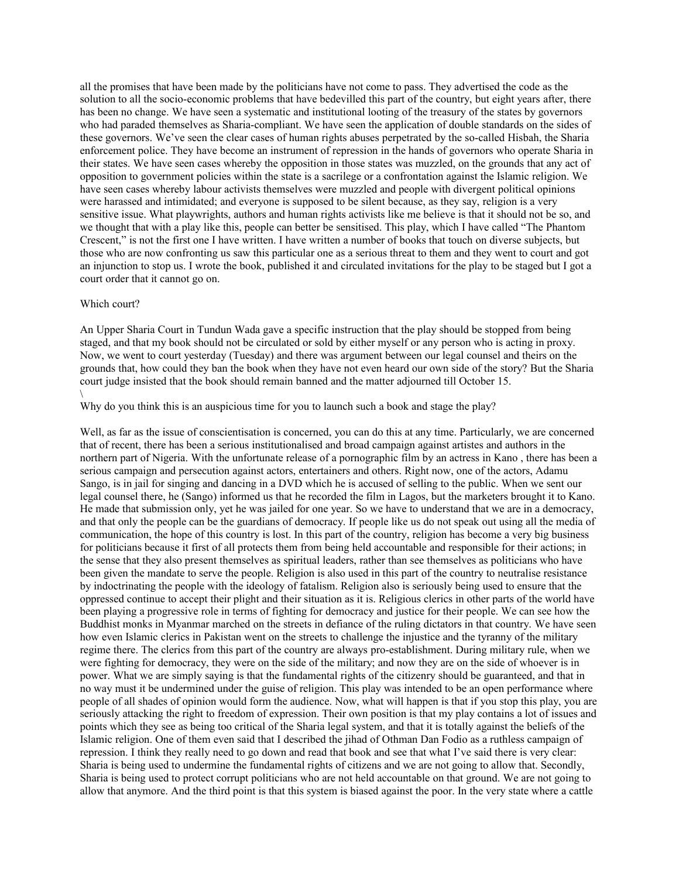all the promises that have been made by the politicians have not come to pass. They advertised the code as the solution to all the socio-economic problems that have bedevilled this part of the country, but eight years after, there has been no change. We have seen a systematic and institutional looting of the treasury of the states by governors who had paraded themselves as Sharia-compliant. We have seen the application of double standards on the sides of these governors. We've seen the clear cases of human rights abuses perpetrated by the so-called Hisbah, the Sharia enforcement police. They have become an instrument of repression in the hands of governors who operate Sharia in their states. We have seen cases whereby the opposition in those states was muzzled, on the grounds that any act of opposition to government policies within the state is a sacrilege or a confrontation against the Islamic religion. We have seen cases whereby labour activists themselves were muzzled and people with divergent political opinions were harassed and intimidated; and everyone is supposed to be silent because, as they say, religion is a very sensitive issue. What playwrights, authors and human rights activists like me believe is that it should not be so, and we thought that with a play like this, people can better be sensitised. This play, which I have called "The Phantom Crescent," is not the first one I have written. I have written a number of books that touch on diverse subjects, but those who are now confronting us saw this particular one as a serious threat to them and they went to court and got an injunction to stop us. I wrote the book, published it and circulated invitations for the play to be staged but I got a court order that it cannot go on.

#### Which court?

An Upper Sharia Court in Tundun Wada gave a specific instruction that the play should be stopped from being staged, and that my book should not be circulated or sold by either myself or any person who is acting in proxy. Now, we went to court yesterday (Tuesday) and there was argument between our legal counsel and theirs on the grounds that, how could they ban the book when they have not even heard our own side of the story? But the Sharia court judge insisted that the book should remain banned and the matter adjourned till October 15.  $\setminus$ 

Why do you think this is an auspicious time for you to launch such a book and stage the play?

Well, as far as the issue of conscientisation is concerned, you can do this at any time. Particularly, we are concerned that of recent, there has been a serious institutionalised and broad campaign against artistes and authors in the northern part of Nigeria. With the unfortunate release of a pornographic film by an actress in Kano , there has been a serious campaign and persecution against actors, entertainers and others. Right now, one of the actors, Adamu Sango, is in jail for singing and dancing in a DVD which he is accused of selling to the public. When we sent our legal counsel there, he (Sango) informed us that he recorded the film in Lagos, but the marketers brought it to Kano. He made that submission only, yet he was jailed for one year. So we have to understand that we are in a democracy, and that only the people can be the guardians of democracy. If people like us do not speak out using all the media of communication, the hope of this country is lost. In this part of the country, religion has become a very big business for politicians because it first of all protects them from being held accountable and responsible for their actions; in the sense that they also present themselves as spiritual leaders, rather than see themselves as politicians who have been given the mandate to serve the people. Religion is also used in this part of the country to neutralise resistance by indoctrinating the people with the ideology of fatalism. Religion also is seriously being used to ensure that the oppressed continue to accept their plight and their situation as it is. Religious clerics in other parts of the world have been playing a progressive role in terms of fighting for democracy and justice for their people. We can see how the Buddhist monks in Myanmar marched on the streets in defiance of the ruling dictators in that country. We have seen how even Islamic clerics in Pakistan went on the streets to challenge the injustice and the tyranny of the military regime there. The clerics from this part of the country are always pro-establishment. During military rule, when we were fighting for democracy, they were on the side of the military; and now they are on the side of whoever is in power. What we are simply saying is that the fundamental rights of the citizenry should be guaranteed, and that in no way must it be undermined under the guise of religion. This play was intended to be an open performance where people of all shades of opinion would form the audience. Now, what will happen is that if you stop this play, you are seriously attacking the right to freedom of expression. Their own position is that my play contains a lot of issues and points which they see as being too critical of the Sharia legal system, and that it is totally against the beliefs of the Islamic religion. One of them even said that I described the jihad of Othman Dan Fodio as a ruthless campaign of repression. I think they really need to go down and read that book and see that what I've said there is very clear: Sharia is being used to undermine the fundamental rights of citizens and we are not going to allow that. Secondly, Sharia is being used to protect corrupt politicians who are not held accountable on that ground. We are not going to allow that anymore. And the third point is that this system is biased against the poor. In the very state where a cattle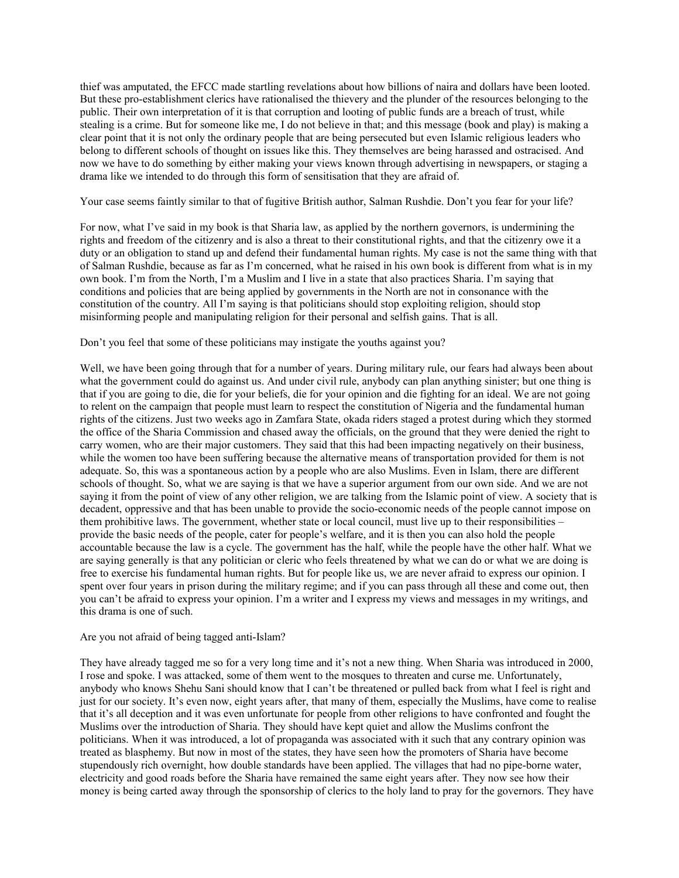thief was amputated, the EFCC made startling revelations about how billions of naira and dollars have been looted. But these pro-establishment clerics have rationalised the thievery and the plunder of the resources belonging to the public. Their own interpretation of it is that corruption and looting of public funds are a breach of trust, while stealing is a crime. But for someone like me, I do not believe in that; and this message (book and play) is making a clear point that it is not only the ordinary people that are being persecuted but even Islamic religious leaders who belong to different schools of thought on issues like this. They themselves are being harassed and ostracised. And now we have to do something by either making your views known through advertising in newspapers, or staging a drama like we intended to do through this form of sensitisation that they are afraid of.

Your case seems faintly similar to that of fugitive British author, Salman Rushdie. Don't you fear for your life?

For now, what I've said in my book is that Sharia law, as applied by the northern governors, is undermining the rights and freedom of the citizenry and is also a threat to their constitutional rights, and that the citizenry owe it a duty or an obligation to stand up and defend their fundamental human rights. My case is not the same thing with that of Salman Rushdie, because as far as I'm concerned, what he raised in his own book is different from what is in my own book. I'm from the North, I'm a Muslim and I live in a state that also practices Sharia. I'm saying that conditions and policies that are being applied by governments in the North are not in consonance with the constitution of the country. All I'm saying is that politicians should stop exploiting religion, should stop misinforming people and manipulating religion for their personal and selfish gains. That is all.

#### Don't you feel that some of these politicians may instigate the youths against you?

Well, we have been going through that for a number of years. During military rule, our fears had always been about what the government could do against us. And under civil rule, anybody can plan anything sinister; but one thing is that if you are going to die, die for your beliefs, die for your opinion and die fighting for an ideal. We are not going to relent on the campaign that people must learn to respect the constitution of Nigeria and the fundamental human rights of the citizens. Just two weeks ago in Zamfara State, okada riders staged a protest during which they stormed the office of the Sharia Commission and chased away the officials, on the ground that they were denied the right to carry women, who are their major customers. They said that this had been impacting negatively on their business, while the women too have been suffering because the alternative means of transportation provided for them is not adequate. So, this was a spontaneous action by a people who are also Muslims. Even in Islam, there are different schools of thought. So, what we are saying is that we have a superior argument from our own side. And we are not saying it from the point of view of any other religion, we are talking from the Islamic point of view. A society that is decadent, oppressive and that has been unable to provide the socio-economic needs of the people cannot impose on them prohibitive laws. The government, whether state or local council, must live up to their responsibilities – provide the basic needs of the people, cater for people's welfare, and it is then you can also hold the people accountable because the law is a cycle. The government has the half, while the people have the other half. What we are saying generally is that any politician or cleric who feels threatened by what we can do or what we are doing is free to exercise his fundamental human rights. But for people like us, we are never afraid to express our opinion. I spent over four years in prison during the military regime; and if you can pass through all these and come out, then you can't be afraid to express your opinion. I'm a writer and I express my views and messages in my writings, and this drama is one of such.

#### Are you not afraid of being tagged anti-Islam?

They have already tagged me so for a very long time and it's not a new thing. When Sharia was introduced in 2000, I rose and spoke. I was attacked, some of them went to the mosques to threaten and curse me. Unfortunately, anybody who knows Shehu Sani should know that I can't be threatened or pulled back from what I feel is right and just for our society. It's even now, eight years after, that many of them, especially the Muslims, have come to realise that it's all deception and it was even unfortunate for people from other religions to have confronted and fought the Muslims over the introduction of Sharia. They should have kept quiet and allow the Muslims confront the politicians. When it was introduced, a lot of propaganda was associated with it such that any contrary opinion was treated as blasphemy. But now in most of the states, they have seen how the promoters of Sharia have become stupendously rich overnight, how double standards have been applied. The villages that had no pipe-borne water, electricity and good roads before the Sharia have remained the same eight years after. They now see how their money is being carted away through the sponsorship of clerics to the holy land to pray for the governors. They have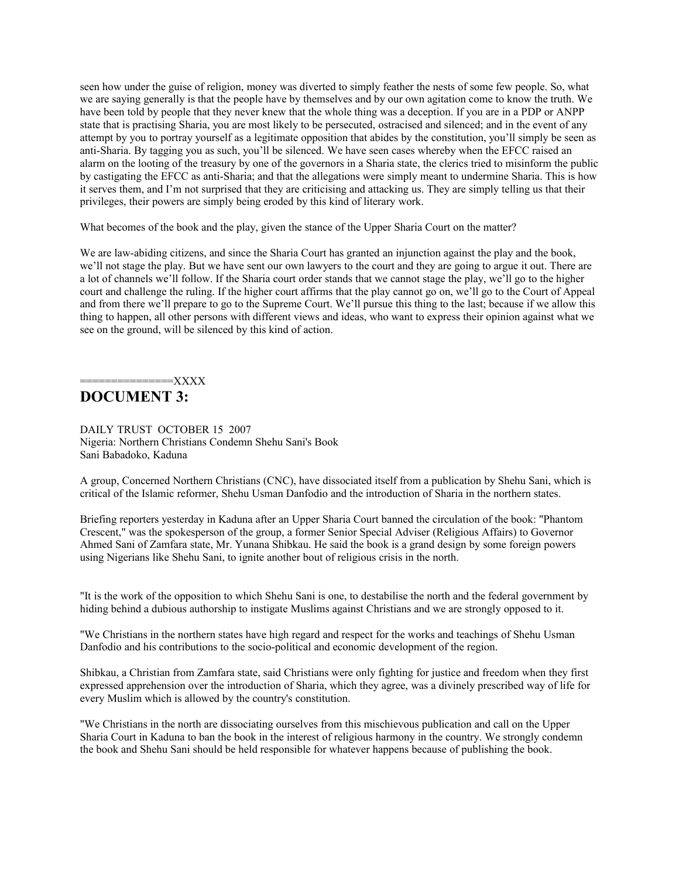seen how under the guise of religion, money was diverted to simply feather the nests of some few people. So, what we are saying generally is that the people have by themselves and by our own agitation come to know the truth. We have been told by people that they never knew that the whole thing was a deception. If you are in a PDP or ANPP state that is practising Sharia, you are most likely to be persecuted, ostracised and silenced; and in the event of any attempt by you to portray yourself as a legitimate opposition that abides by the constitution, you'll simply be seen as anti-Sharia. By tagging you as such, you'll be silenced. We have seen cases whereby when the EFCC raised an alarm on the looting of the treasury by one of the governors in a Sharia state, the clerics tried to misinform the public by castigating the EFCC as anti-Sharia; and that the allegations were simply meant to undermine Sharia. This is how it serves them, and I'm not surprised that they are criticising and attacking us. They are simply telling us that their privileges, their powers are simply being eroded by this kind of literary work.

What becomes of the book and the play, given the stance of the Upper Sharia Court on the matter?

We are law-abiding citizens, and since the Sharia Court has granted an injunction against the play and the book, we'll not stage the play. But we have sent our own lawyers to the court and they are going to argue it out. There are a lot of channels we'll follow. If the Sharia court order stands that we cannot stage the play, we'll go to the higher court and challenge the ruling. If the higher court affirms that the play cannot go on, we'll go to the Court of Appeal and from there we'll prepare to go to the Supreme Court. We'll pursue this thing to the last; because if we allow this thing to happen, all other persons with different views and ideas, who want to express their opinion against what we see on the ground, will be silenced by this kind of action.

## $=$  $\bf XXX$

## **DOCUMENT 3:**

DAILY TRUST OCTOBER 15 2007 Nigeria: Northern Christians Condemn Shehu Sani's Book Sani Babadoko, Kaduna

A group, Concerned Northern Christians (CNC), have dissociated itself from a publication by Shehu Sani, which is critical of the Islamic reformer, Shehu Usman Danfodio and the introduction of Sharia in the northern states.

Briefing reporters yesterday in Kaduna after an Upper Sharia Court banned the circulation of the book: "Phantom Crescent," was the spokesperson of the group, a former Senior Special Adviser (Religious Affairs) to Governor Ahmed Sani of Zamfara state, Mr. Yunana Shibkau. He said the book is a grand design by some foreign powers using Nigerians like Shehu Sani, to ignite another bout of religious crisis in the north.

"It is the work of the opposition to which Shehu Sani is one, to destabilise the north and the federal government by hiding behind a dubious authorship to instigate Muslims against Christians and we are strongly opposed to it.

"We Christians in the northern states have high regard and respect for the works and teachings of Shehu Usman Danfodio and his contributions to the socio-political and economic development of the region.

Shibkau, a Christian from Zamfara state, said Christians were only fighting for justice and freedom when they first expressed apprehension over the introduction of Sharia, which they agree, was a divinely prescribed way of life for every Muslim which is allowed by the country's constitution.

"We Christians in the north are dissociating ourselves from this mischievous publication and call on the Upper Sharia Court in Kaduna to ban the book in the interest of religious harmony in the country. We strongly condemn the book and Shehu Sani should be held responsible for whatever happens because of publishing the book.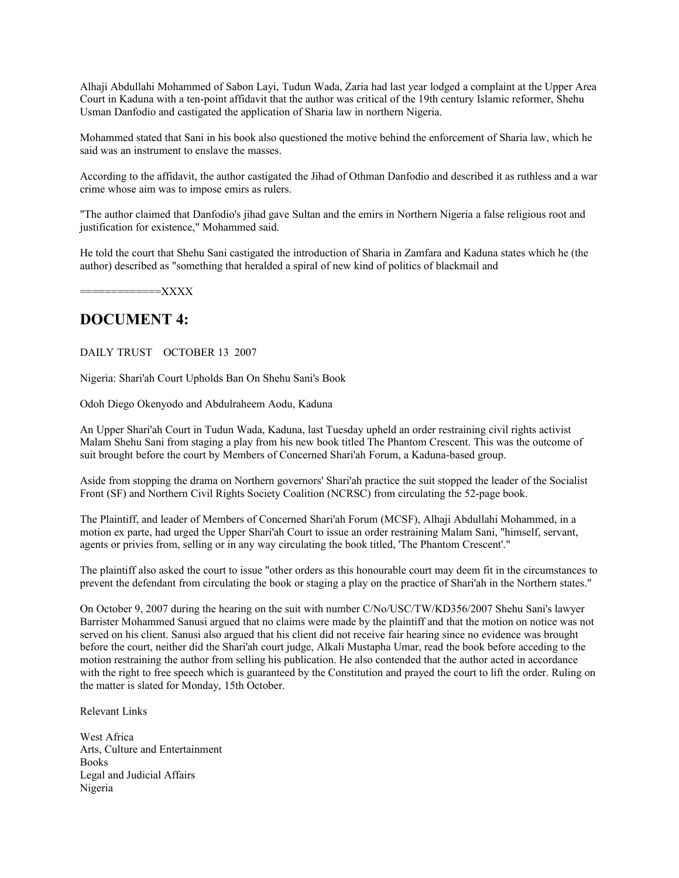Alhaji Abdullahi Mohammed of Sabon Layi, Tudun Wada, Zaria had last year lodged a complaint at the Upper Area Court in Kaduna with a ten-point affidavit that the author was critical of the 19th century Islamic reformer, Shehu Usman Danfodio and castigated the application of Sharia law in northern Nigeria.

Mohammed stated that Sani in his book also questioned the motive behind the enforcement of Sharia law, which he said was an instrument to enslave the masses.

According to the affidavit, the author castigated the Jihad of Othman Danfodio and described it as ruthless and a war crime whose aim was to impose emirs as rulers.

"The author claimed that Danfodio's jihad gave Sultan and the emirs in Northern Nigeria a false religious root and justification for existence," Mohammed said.

He told the court that Shehu Sani castigated the introduction of Sharia in Zamfara and Kaduna states which he (the author) described as "something that heralded a spiral of new kind of politics of blackmail and

=============XXXX

#### **DOCUMENT 4:**

DAILY TRUST OCTOBER 13 2007

Nigeria: Shari'ah Court Upholds Ban On Shehu Sani's Book

Odoh Diego Okenyodo and Abdulraheem Aodu, Kaduna

An Upper Shari'ah Court in Tudun Wada, Kaduna, last Tuesday upheld an order restraining civil rights activist Malam Shehu Sani from staging a play from his new book titled The Phantom Crescent. This was the outcome of suit brought before the court by Members of Concerned Shari'ah Forum, a Kaduna-based group.

Aside from stopping the drama on Northern governors' Shari'ah practice the suit stopped the leader of the Socialist Front (SF) and Northern Civil Rights Society Coalition (NCRSC) from circulating the 52-page book.

The Plaintiff, and leader of Members of Concerned Shari'ah Forum (MCSF), Alhaji Abdullahi Mohammed, in a motion ex parte, had urged the Upper Shari'ah Court to issue an order restraining Malam Sani, "himself, servant, agents or privies from, selling or in any way circulating the book titled, 'The Phantom Crescent'."

The plaintiff also asked the court to issue "other orders as this honourable court may deem fit in the circumstances to prevent the defendant from circulating the book or staging a play on the practice of Shari'ah in the Northern states."

On October 9, 2007 during the hearing on the suit with number C/No/USC/TW/KD356/2007 Shehu Sani's lawyer Barrister Mohammed Sanusi argued that no claims were made by the plaintiff and that the motion on notice was not served on his client. Sanusi also argued that his client did not receive fair hearing since no evidence was brought before the court, neither did the Shari'ah court judge, Alkali Mustapha Umar, read the book before acceding to the motion restraining the author from selling his publication. He also contended that the author acted in accordance with the right to free speech which is guaranteed by the Constitution and prayed the court to lift the order. Ruling on the matter is slated for Monday, 15th October.

Relevant Links

West Africa Arts, Culture and Entertainment **Books** Legal and Judicial Affairs Nigeria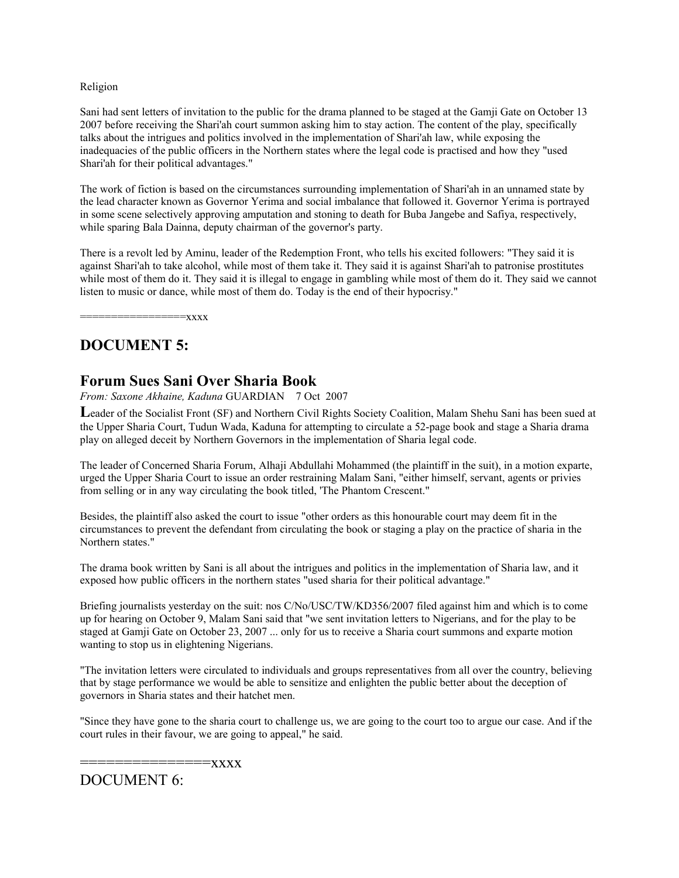#### Religion

Sani had sent letters of invitation to the public for the drama planned to be staged at the Gamji Gate on October 13 2007 before receiving the Shari'ah court summon asking him to stay action. The content of the play, specifically talks about the intrigues and politics involved in the implementation of Shari'ah law, while exposing the inadequacies of the public officers in the Northern states where the legal code is practised and how they "used Shari'ah for their political advantages."

The work of fiction is based on the circumstances surrounding implementation of Shari'ah in an unnamed state by the lead character known as Governor Yerima and social imbalance that followed it. Governor Yerima is portrayed in some scene selectively approving amputation and stoning to death for Buba Jangebe and Safiya, respectively, while sparing Bala Dainna, deputy chairman of the governor's party.

There is a revolt led by Aminu, leader of the Redemption Front, who tells his excited followers: "They said it is against Shari'ah to take alcohol, while most of them take it. They said it is against Shari'ah to patronise prostitutes while most of them do it. They said it is illegal to engage in gambling while most of them do it. They said we cannot listen to music or dance, while most of them do. Today is the end of their hypocrisy."

 $=xxxx$ 

## **DOCUMENT 5:**

#### **Forum Sues Sani Over Sharia Book**

*From: Saxone Akhaine, Kaduna* GUARDIAN 7 Oct 2007

Leader of the Socialist Front (SF) and Northern Civil Rights Society Coalition, Malam Shehu Sani has been sued at the Upper Sharia Court, Tudun Wada, Kaduna for attempting to circulate a 52-page book and stage a Sharia drama play on alleged deceit by Northern Governors in the implementation of Sharia legal code.

The leader of Concerned Sharia Forum, Alhaji Abdullahi Mohammed (the plaintiff in the suit), in a motion exparte, urged the Upper Sharia Court to issue an order restraining Malam Sani, "either himself, servant, agents or privies from selling or in any way circulating the book titled, 'The Phantom Crescent."

Besides, the plaintiff also asked the court to issue "other orders as this honourable court may deem fit in the circumstances to prevent the defendant from circulating the book or staging a play on the practice of sharia in the Northern states."

The drama book written by Sani is all about the intrigues and politics in the implementation of Sharia law, and it exposed how public officers in the northern states "used sharia for their political advantage."

Briefing journalists yesterday on the suit: nos C/No/USC/TW/KD356/2007 filed against him and which is to come up for hearing on October 9, Malam Sani said that "we sent invitation letters to Nigerians, and for the play to be staged at Gamji Gate on October 23, 2007 ... only for us to receive a Sharia court summons and exparte motion wanting to stop us in elightening Nigerians.

"The invitation letters were circulated to individuals and groups representatives from all over the country, believing that by stage performance we would be able to sensitize and enlighten the public better about the deception of governors in Sharia states and their hatchet men.

"Since they have gone to the sharia court to challenge us, we are going to the court too to argue our case. And if the court rules in their favour, we are going to appeal," he said.

===============xxxx

DOCUMENT 6: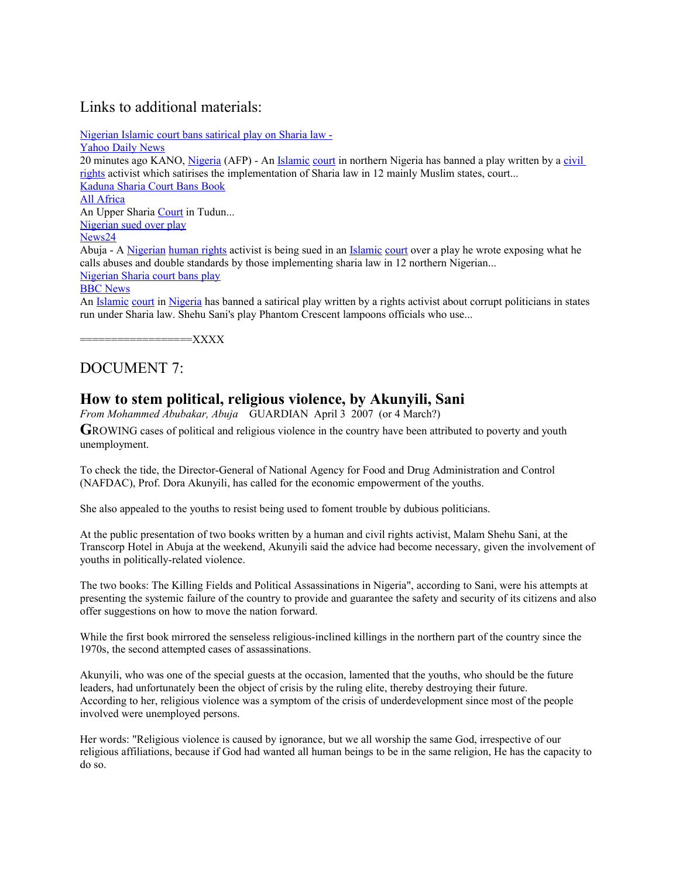## Links to additional materials:

[Nigerian Islamic court bans satirical play on Sharia law -](http://article.wn.com/view/2007/10/07/Nigerian_Islamic_court_bans_satirical_play_on_Sharia_law/?template=cheetah-article%2Fdisplayarticle.txt)

[Yahoo Daily News](http://article.wn.com/link/WNATed224a6b539227351690a9898fa1556d?source=upge&template=cheetah-article%2Fdisplayarticle.txt) 20 minutes ago KANO, [Nigeria](http://www.nigeriadaily.com/) (AFP) - An *Islamic court* in northern Nigeria has banned a play written by a civil [rights](http://www.civilrightstoday.com/) activist which satirises the implementation of Sharia law in 12 mainly Muslim states, court... [Kaduna Sharia Court Bans Book](http://article.wn.com/view/2007/10/09/Kaduna_Sharia_Court_Bans_Book/?template=cheetah-article%2Fdisplayarticle.txt) [All Africa](http://article.wn.com/link/WNAT3e6b7a719e2f3ddfd5c17d57bdec06ad?source=upge&template=cheetah-article%2Fdisplayarticle.txt) An Upper Sharia [Court](http://worldcourtnews.com/) in Tudun... [Nigerian sued over play](http://article.wn.com/view/2007/10/07/Nigerian_sued_over_play/?template=cheetah-article%2Fdisplayarticle.txt) [News24](http://article.wn.com/link/WNATa4cb5fbf772751ad930635f34d086658?source=upge&template=cheetah-article%2Fdisplayarticle.txt) Abuja - A [Nigerian](http://www.nigeriaobserver.com/) [human rights](http://www.humanrightstoday.com/) activist is being sued in an [Islamic](http://www.newislamist.com/) [court](http://worldcourtnews.com/) over a play he wrote exposing what he calls abuses and double standards by those implementing sharia law in 12 northern Nigerian... [Nigerian Sharia court bans play](http://article.wn.com/view/2007/10/08/Nigerian_Sharia_court_bans_play/?template=cheetah-article%2Fdisplayarticle.txt) **BBC** News An [Islamic](http://www.newislamist.com/) [court](http://worldcourtnews.com/) in [Nigeria](http://www.nigeriadaily.com/) has banned a satirical play written by a rights activist about corrupt politicians in states run under Sharia law. Shehu Sani's play Phantom Crescent lampoons officials who use...

==================XXXX

## DOCUMENT 7:

### **How to stem political, religious violence, by Akunyili, Sani**

*From Mohammed Abubakar, Abuja* GUARDIAN April 3 2007 (or 4 March?)

**G**ROWING cases of political and religious violence in the country have been attributed to poverty and youth unemployment.

To check the tide, the Director-General of National Agency for Food and Drug Administration and Control (NAFDAC), Prof. Dora Akunyili, has called for the economic empowerment of the youths.

She also appealed to the youths to resist being used to foment trouble by dubious politicians.

At the public presentation of two books written by a human and civil rights activist, Malam Shehu Sani, at the Transcorp Hotel in Abuja at the weekend, Akunyili said the advice had become necessary, given the involvement of youths in politically-related violence.

The two books: The Killing Fields and Political Assassinations in Nigeria", according to Sani, were his attempts at presenting the systemic failure of the country to provide and guarantee the safety and security of its citizens and also offer suggestions on how to move the nation forward.

While the first book mirrored the senseless religious-inclined killings in the northern part of the country since the 1970s, the second attempted cases of assassinations.

Akunyili, who was one of the special guests at the occasion, lamented that the youths, who should be the future leaders, had unfortunately been the object of crisis by the ruling elite, thereby destroying their future. According to her, religious violence was a symptom of the crisis of underdevelopment since most of the people involved were unemployed persons.

Her words: "Religious violence is caused by ignorance, but we all worship the same God, irrespective of our religious affiliations, because if God had wanted all human beings to be in the same religion, He has the capacity to do so.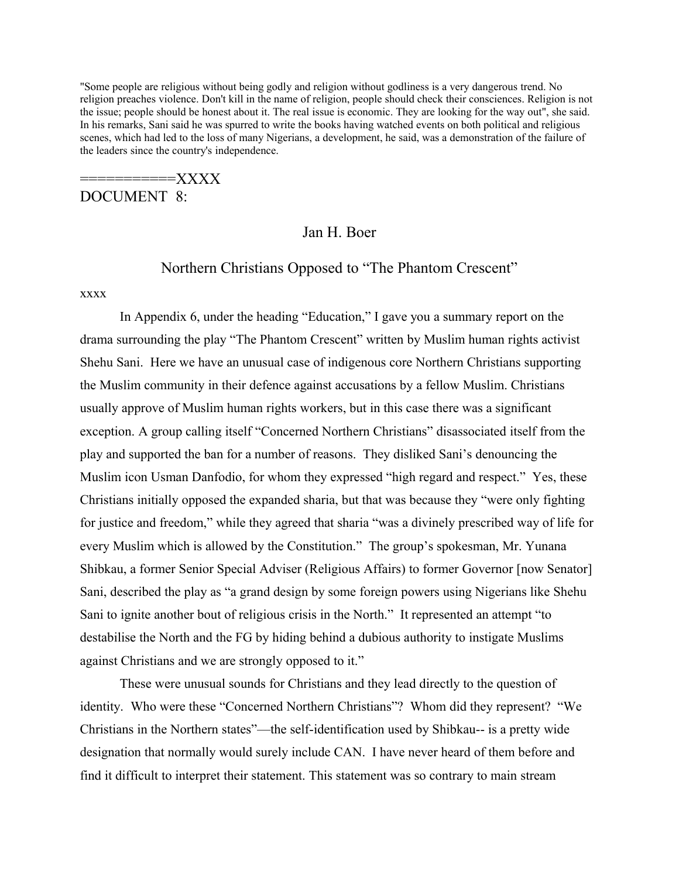"Some people are religious without being godly and religion without godliness is a very dangerous trend. No religion preaches violence. Don't kill in the name of religion, people should check their consciences. Religion is not the issue; people should be honest about it. The real issue is economic. They are looking for the way out", she said. In his remarks, Sani said he was spurred to write the books having watched events on both political and religious scenes, which had led to the loss of many Nigerians, a development, he said, was a demonstration of the failure of the leaders since the country's independence.

===========XXXX

DOCUMENT 8:

#### Jan H. Boer

# Northern Christians Opposed to "The Phantom Crescent"

xxxx

In Appendix 6, under the heading "Education," I gave you a summary report on the drama surrounding the play "The Phantom Crescent" written by Muslim human rights activist Shehu Sani. Here we have an unusual case of indigenous core Northern Christians supporting the Muslim community in their defence against accusations by a fellow Muslim. Christians usually approve of Muslim human rights workers, but in this case there was a significant exception. A group calling itself "Concerned Northern Christians" disassociated itself from the play and supported the ban for a number of reasons. They disliked Sani's denouncing the Muslim icon Usman Danfodio, for whom they expressed "high regard and respect." Yes, these Christians initially opposed the expanded sharia, but that was because they "were only fighting for justice and freedom," while they agreed that sharia "was a divinely prescribed way of life for every Muslim which is allowed by the Constitution." The group's spokesman, Mr. Yunana Shibkau, a former Senior Special Adviser (Religious Affairs) to former Governor [now Senator] Sani, described the play as "a grand design by some foreign powers using Nigerians like Shehu Sani to ignite another bout of religious crisis in the North." It represented an attempt "to destabilise the North and the FG by hiding behind a dubious authority to instigate Muslims against Christians and we are strongly opposed to it."

These were unusual sounds for Christians and they lead directly to the question of identity. Who were these "Concerned Northern Christians"? Whom did they represent? "We Christians in the Northern states"—the self-identification used by Shibkau-- is a pretty wide designation that normally would surely include CAN. I have never heard of them before and find it difficult to interpret their statement. This statement was so contrary to main stream